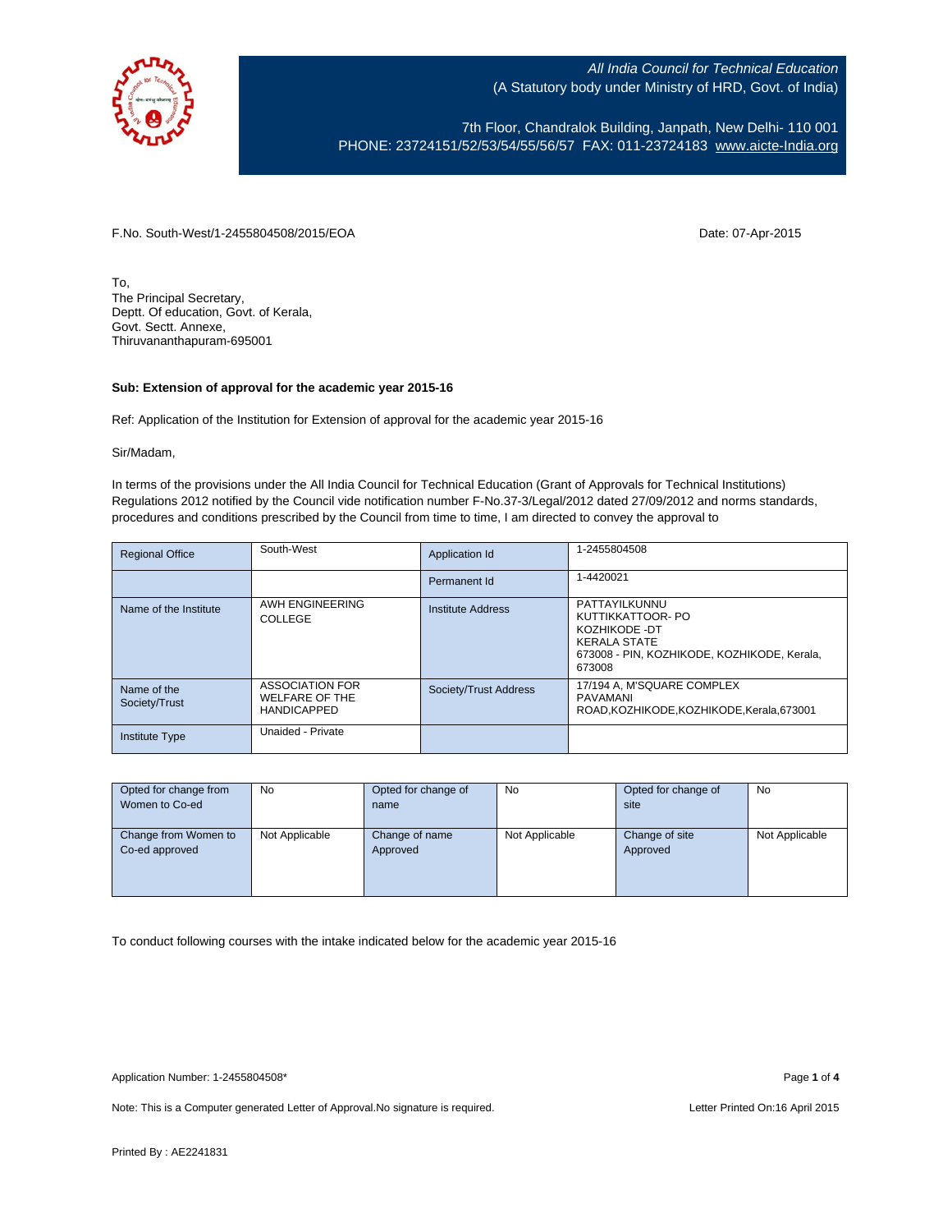

7th Floor, Chandralok Building, Janpath, New Delhi- 110 001 PHONE: 23724151/52/53/54/55/56/57 FAX: 011-23724183 [www.aicte-India.org](http://www.aicte-india.org/)

F.No. South-West/1-2455804508/2015/EOA Date: 07-Apr-2015

To, The Principal Secretary, Deptt. Of education, Govt. of Kerala, Govt. Sectt. Annexe, Thiruvananthapuram-695001

## **Sub: Extension of approval for the academic year 2015-16**

Ref: Application of the Institution for Extension of approval for the academic year 2015-16

Sir/Madam,

In terms of the provisions under the All India Council for Technical Education (Grant of Approvals for Technical Institutions) Regulations 2012 notified by the Council vide notification number F-No.37-3/Legal/2012 dated 27/09/2012 and norms standards, procedures and conditions prescribed by the Council from time to time, I am directed to convey the approval to

| <b>Regional Office</b>       | South-West                                                     | Application Id           | 1-2455804508                                                                                                                        |
|------------------------------|----------------------------------------------------------------|--------------------------|-------------------------------------------------------------------------------------------------------------------------------------|
|                              |                                                                | Permanent Id             | 1-4420021                                                                                                                           |
| Name of the Institute        | AWH ENGINEERING<br>COLLEGE                                     | <b>Institute Address</b> | PATTAYILKUNNU<br>KUTTIKKATTOOR- PO<br>KOZHIKODE -DT<br><b>KERALA STATE</b><br>673008 - PIN, KOZHIKODE, KOZHIKODE, Kerala,<br>673008 |
| Name of the<br>Society/Trust | ASSOCIATION FOR<br><b>WELFARE OF THE</b><br><b>HANDICAPPED</b> | Society/Trust Address    | 17/194 A, M'SQUARE COMPLEX<br>PAVAMANI<br>ROAD.KOZHIKODE.KOZHIKODE.Kerala.673001                                                    |
| <b>Institute Type</b>        | Unaided - Private                                              |                          |                                                                                                                                     |

| Opted for change from | <b>No</b>      | Opted for change of | No             | Opted for change of | <b>No</b>      |
|-----------------------|----------------|---------------------|----------------|---------------------|----------------|
| Women to Co-ed        |                | name                |                | site                |                |
|                       |                |                     |                |                     |                |
| Change from Women to  | Not Applicable | Change of name      | Not Applicable | Change of site      | Not Applicable |
| Co-ed approved        |                | Approved            |                | Approved            |                |
|                       |                |                     |                |                     |                |
|                       |                |                     |                |                     |                |
|                       |                |                     |                |                     |                |

To conduct following courses with the intake indicated below for the academic year 2015-16

Note: This is a Computer generated Letter of Approval. No signature is required. Letter Printed On:16 April 2015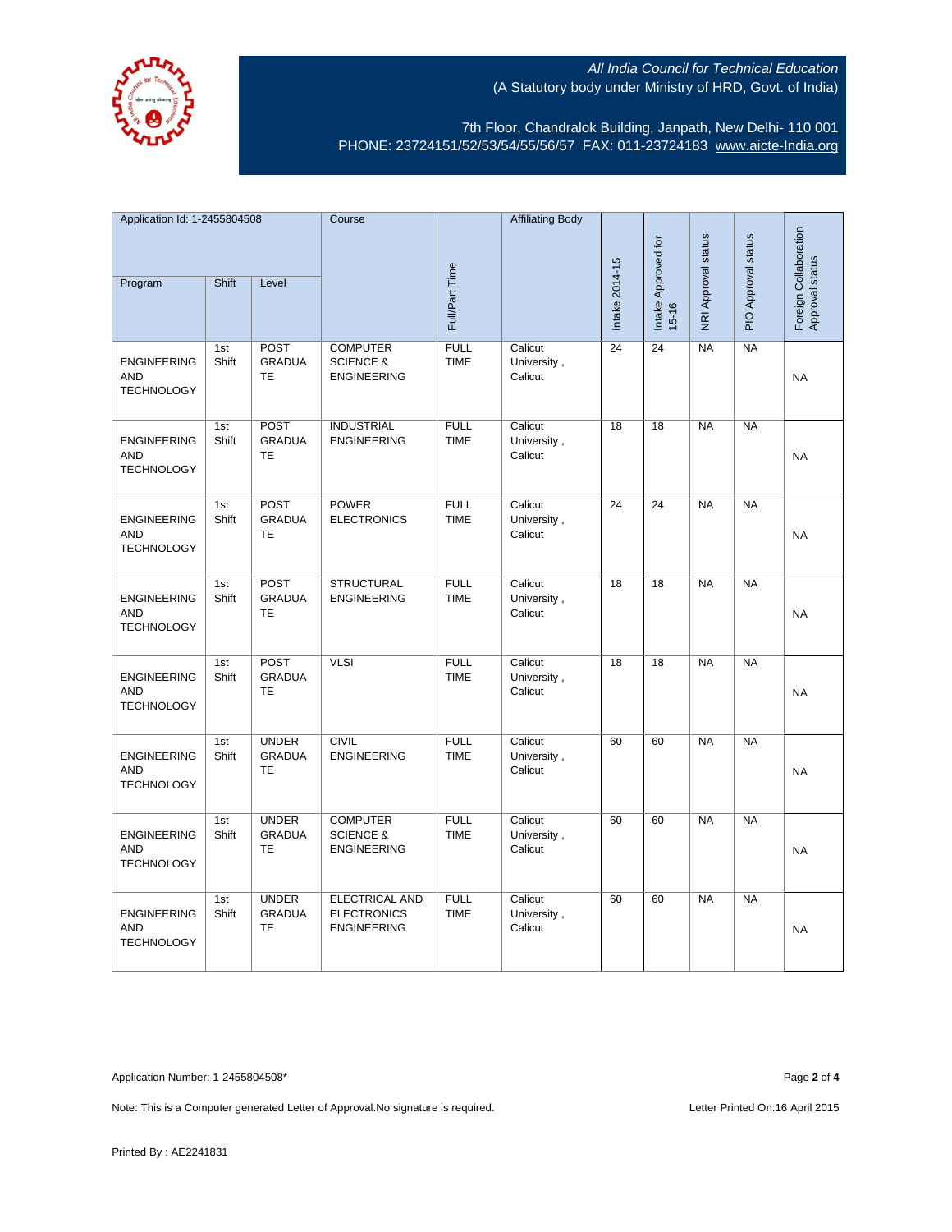

7th Floor, Chandralok Building, Janpath, New Delhi- 110 001 PHONE: 23724151/52/53/54/55/56/57 FAX: 011-23724183 [www.aicte-India.org](http://www.aicte-india.org/)

| Application Id: 1-2455804508                          |              | Course                                     |                                                                   | <b>Affiliating Body</b>    |                                   |                 |                     |                     |                     |                                          |
|-------------------------------------------------------|--------------|--------------------------------------------|-------------------------------------------------------------------|----------------------------|-----------------------------------|-----------------|---------------------|---------------------|---------------------|------------------------------------------|
| Program                                               | Shift        | Level                                      |                                                                   | Full/Part Time             |                                   | Intake 2014-15  | Intake Approved for | NRI Approval status | PIO Approval status | Foreign Collaboration<br>Approval status |
|                                                       |              |                                            |                                                                   |                            |                                   |                 | $15 - 16$           |                     |                     |                                          |
| <b>ENGINEERING</b><br><b>AND</b><br><b>TECHNOLOGY</b> | 1st<br>Shift | <b>POST</b><br><b>GRADUA</b><br>TE         | <b>COMPUTER</b><br><b>SCIENCE &amp;</b><br><b>ENGINEERING</b>     | FULL<br><b>TIME</b>        | Calicut<br>University,<br>Calicut | 24              | 24                  | <b>NA</b>           | <b>NA</b>           | <b>NA</b>                                |
| <b>ENGINEERING</b><br><b>AND</b><br><b>TECHNOLOGY</b> | 1st<br>Shift | <b>POST</b><br><b>GRADUA</b><br>TE         | <b>INDUSTRIAL</b><br><b>ENGINEERING</b>                           | <b>FULL</b><br><b>TIME</b> | Calicut<br>University,<br>Calicut | $\overline{18}$ | $\overline{18}$     | NA                  | NA                  | <b>NA</b>                                |
| <b>ENGINEERING</b><br><b>AND</b><br><b>TECHNOLOGY</b> | 1st<br>Shift | <b>POST</b><br><b>GRADUA</b><br>TE         | <b>POWER</b><br><b>ELECTRONICS</b>                                | <b>FULL</b><br><b>TIME</b> | Calicut<br>University,<br>Calicut | $\overline{24}$ | $\overline{24}$     | <b>NA</b>           | <b>NA</b>           | <b>NA</b>                                |
| <b>ENGINEERING</b><br><b>AND</b><br><b>TECHNOLOGY</b> | 1st<br>Shift | <b>POST</b><br><b>GRADUA</b><br>TE         | <b>STRUCTURAL</b><br><b>ENGINEERING</b>                           | <b>FULL</b><br><b>TIME</b> | Calicut<br>University,<br>Calicut | 18              | 18                  | <b>NA</b>           | <b>NA</b>           | <b>NA</b>                                |
| <b>ENGINEERING</b><br><b>AND</b><br><b>TECHNOLOGY</b> | 1st<br>Shift | <b>POST</b><br><b>GRADUA</b><br>TE         | <b>VLSI</b>                                                       | <b>FULL</b><br><b>TIME</b> | Calicut<br>University,<br>Calicut | 18              | 18                  | <b>NA</b>           | NA                  | <b>NA</b>                                |
| <b>ENGINEERING</b><br><b>AND</b><br><b>TECHNOLOGY</b> | 1st<br>Shift | <b>UNDER</b><br><b>GRADUA</b><br><b>TE</b> | <b>CIVIL</b><br><b>ENGINEERING</b>                                | <b>FULL</b><br><b>TIME</b> | Calicut<br>University,<br>Calicut | 60              | 60                  | <b>NA</b>           | NA                  | <b>NA</b>                                |
| <b>ENGINEERING</b><br><b>AND</b><br><b>TECHNOLOGY</b> | 1st<br>Shift | <b>UNDER</b><br><b>GRADUA</b><br><b>TE</b> | <b>COMPUTER</b><br><b>SCIENCE &amp;</b><br><b>ENGINEERING</b>     | <b>FULL</b><br><b>TIME</b> | Calicut<br>University,<br>Calicut | 60              | 60                  | <b>NA</b>           | <b>NA</b>           | <b>NA</b>                                |
| <b>ENGINEERING</b><br><b>AND</b><br><b>TECHNOLOGY</b> | 1st<br>Shift | <b>UNDER</b><br><b>GRADUA</b><br>TE        | <b>ELECTRICAL AND</b><br><b>ELECTRONICS</b><br><b>ENGINEERING</b> | <b>FULL</b><br><b>TIME</b> | Calicut<br>University,<br>Calicut | 60              | 60                  | NA                  | NA                  | <b>NA</b>                                |

Application Number: 1-2455804508\* Page **2** of **4**

Note: This is a Computer generated Letter of Approval. No signature is required. Letter Printed On:16 April 2015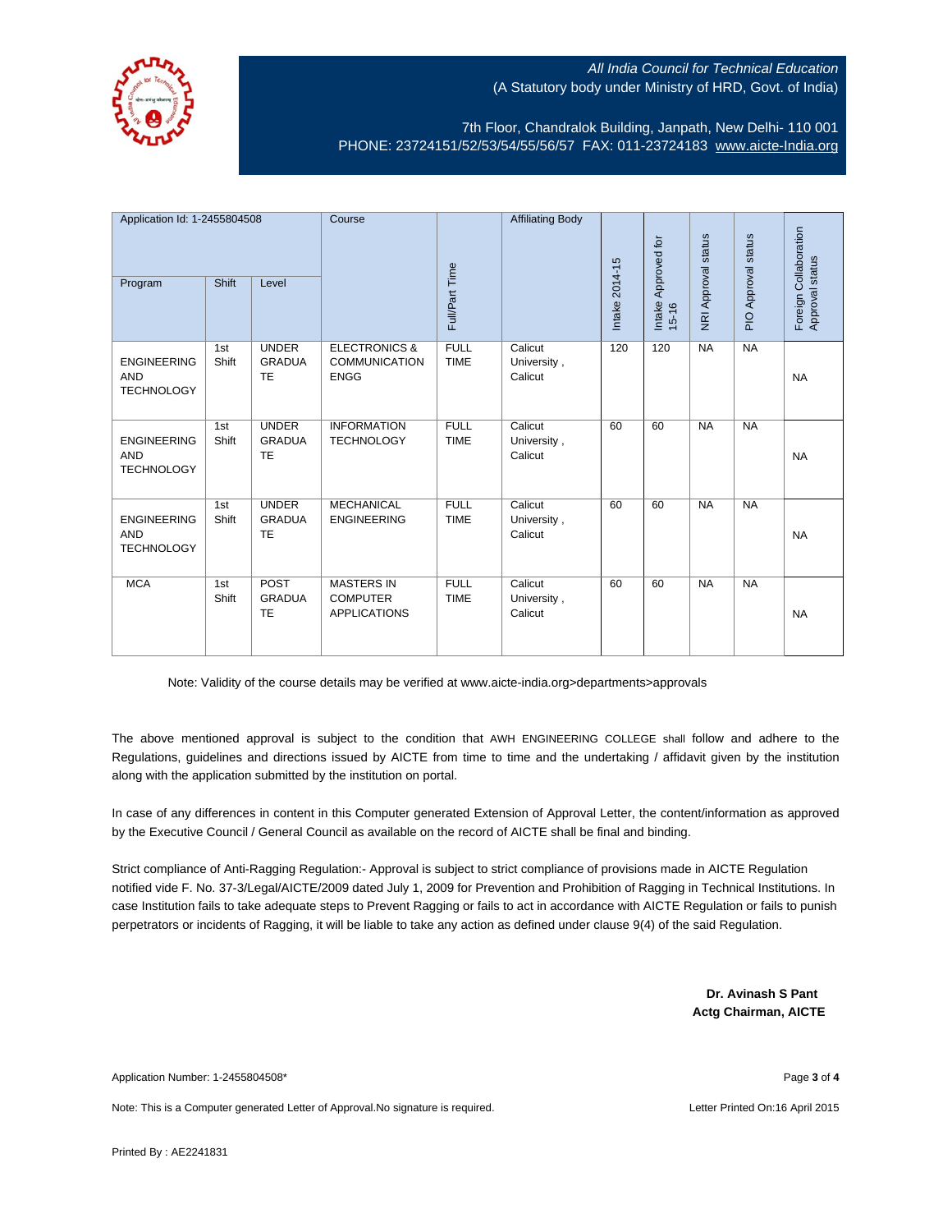

7th Floor, Chandralok Building, Janpath, New Delhi- 110 001 PHONE: 23724151/52/53/54/55/56/57 FAX: 011-23724183 [www.aicte-India.org](http://www.aicte-india.org/)

| Application Id: 1-2455804508<br>Shift<br>Level<br>Program |              | Course                                     | Full/Part Time                                                  | <b>Affiliating Body</b>    | Intake 2014-15                    | Intake Approved for | NRI Approval status | PIO Approval status | Foreign Collaboration<br>Approval status |           |
|-----------------------------------------------------------|--------------|--------------------------------------------|-----------------------------------------------------------------|----------------------------|-----------------------------------|---------------------|---------------------|---------------------|------------------------------------------|-----------|
|                                                           |              |                                            |                                                                 |                            |                                   |                     | $15 - 16$           |                     |                                          |           |
| <b>ENGINEERING</b><br><b>AND</b><br><b>TECHNOLOGY</b>     | 1st<br>Shift | <b>UNDER</b><br><b>GRADUA</b><br><b>TE</b> | <b>ELECTRONICS &amp;</b><br><b>COMMUNICATION</b><br><b>ENGG</b> | <b>FULL</b><br><b>TIME</b> | Calicut<br>University,<br>Calicut | 120                 | 120                 | <b>NA</b>           | NA                                       | <b>NA</b> |
| <b>ENGINEERING</b><br><b>AND</b><br><b>TECHNOLOGY</b>     | 1st<br>Shift | <b>UNDER</b><br><b>GRADUA</b><br>TE        | <b>INFORMATION</b><br><b>TECHNOLOGY</b>                         | <b>FULL</b><br><b>TIME</b> | Calicut<br>University,<br>Calicut | 60                  | 60                  | <b>NA</b>           | NA                                       | <b>NA</b> |
| <b>ENGINEERING</b><br><b>AND</b><br><b>TECHNOLOGY</b>     | 1st<br>Shift | <b>UNDER</b><br><b>GRADUA</b><br><b>TE</b> | <b>MECHANICAL</b><br><b>ENGINEERING</b>                         | <b>FULL</b><br><b>TIME</b> | Calicut<br>University,<br>Calicut | 60                  | 60                  | <b>NA</b>           | <b>NA</b>                                | <b>NA</b> |
| <b>MCA</b>                                                | 1st<br>Shift | POST<br><b>GRADUA</b><br><b>TE</b>         | <b>MASTERS IN</b><br><b>COMPUTER</b><br><b>APPLICATIONS</b>     | <b>FULL</b><br><b>TIME</b> | Calicut<br>University,<br>Calicut | 60                  | 60                  | <b>NA</b>           | <b>NA</b>                                | <b>NA</b> |

Note: Validity of the course details may be verified at www.aicte-india.org>departments>approvals

The above mentioned approval is subject to the condition that AWH ENGINEERING COLLEGE shall follow and adhere to the Regulations, guidelines and directions issued by AICTE from time to time and the undertaking / affidavit given by the institution along with the application submitted by the institution on portal.

In case of any differences in content in this Computer generated Extension of Approval Letter, the content/information as approved by the Executive Council / General Council as available on the record of AICTE shall be final and binding.

Strict compliance of Anti-Ragging Regulation:- Approval is subject to strict compliance of provisions made in AICTE Regulation notified vide F. No. 37-3/Legal/AICTE/2009 dated July 1, 2009 for Prevention and Prohibition of Ragging in Technical Institutions. In case Institution fails to take adequate steps to Prevent Ragging or fails to act in accordance with AICTE Regulation or fails to punish perpetrators or incidents of Ragging, it will be liable to take any action as defined under clause 9(4) of the said Regulation.

> **Dr. Avinash S Pant Actg Chairman, AICTE**

Application Number: 1-2455804508\* Page **3** of **4**

Note: This is a Computer generated Letter of Approval.No signature is required. Letter According the state of April 2015